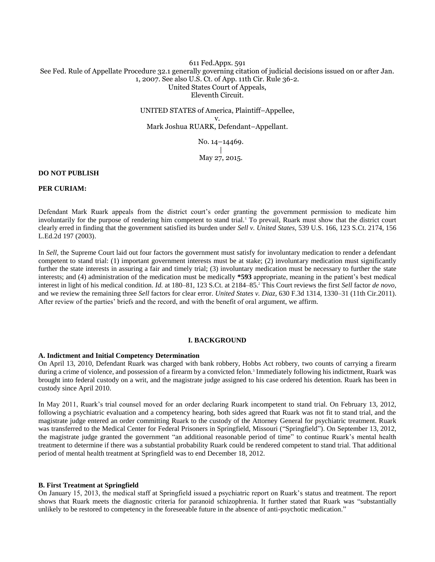## 611 Fed.Appx. 591 See Fed. Rule of Appellate Procedure 32.1 generally governing citation of judicial decisions issued on or after Jan. 1, 2007. See also U.S. Ct. of App. 11th Cir. Rule 36-2. United States Court of Appeals, Eleventh Circuit.

UNITED STATES of America, Plaintiff–Appellee, v. Mark Joshua RUARK, Defendant–Appellant.

> No. 14–14469. | May 27, 2015.

## **DO NOT PUBLISH**

## **PER CURIAM:**

Defendant Mark Ruark appeals from the district court's order granting the government permission to medicate him involuntarily for the purpose of rendering him competent to stand trial.<sup>1</sup> To prevail, Ruark must show that the district court clearly erred in finding that the government satisfied its burden under *Sell v. United States,* 539 U.S. 166, 123 S.Ct. 2174, 156 L.Ed.2d 197 (2003).

In *Sell,* the Supreme Court laid out four factors the government must satisfy for involuntary medication to render a defendant competent to stand trial: (1) important government interests must be at stake; (2) involuntary medication must significantly further the state interests in assuring a fair and timely trial; (3) involuntary medication must be necessary to further the state interests; and (4) administration of the medication must be medically **\*593** appropriate, meaning in the patient's best medical interest in light of his medical condition. *Id.* at 180–81, 123 S.Ct. at 2184–85. <sup>2</sup> This Court reviews the first *Sell* factor *de novo,* and we review the remaining three *Sell* factors for clear error. *United States v. Diaz,* 630 F.3d 1314, 1330–31 (11th Cir.2011). After review of the parties' briefs and the record, and with the benefit of oral argument, we affirm.

## **I. BACKGROUND**

#### **A. Indictment and Initial Competency Determination**

On April 13, 2010, Defendant Ruark was charged with bank robbery, Hobbs Act robbery, two counts of carrying a firearm during a crime of violence, and possession of a firearm by a convicted felon.<sup>3</sup> Immediately following his indictment, Ruark was brought into federal custody on a writ, and the magistrate judge assigned to his case ordered his detention. Ruark has been in custody since April 2010.

In May 2011, Ruark's trial counsel moved for an order declaring Ruark incompetent to stand trial. On February 13, 2012, following a psychiatric evaluation and a competency hearing, both sides agreed that Ruark was not fit to stand trial, and the magistrate judge entered an order committing Ruark to the custody of the Attorney General for psychiatric treatment. Ruark was transferred to the Medical Center for Federal Prisoners in Springfield, Missouri ("Springfield"). On September 13, 2012, the magistrate judge granted the government "an additional reasonable period of time" to continue Ruark's mental health treatment to determine if there was a substantial probability Ruark could be rendered competent to stand trial. That additional period of mental health treatment at Springfield was to end December 18, 2012.

#### **B. First Treatment at Springfield**

On January 15, 2013, the medical staff at Springfield issued a psychiatric report on Ruark's status and treatment. The report shows that Ruark meets the diagnostic criteria for paranoid schizophrenia. It further stated that Ruark was "substantially unlikely to be restored to competency in the foreseeable future in the absence of anti-psychotic medication."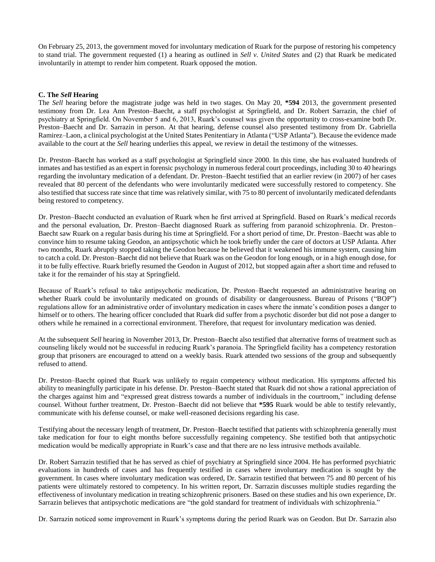On February 25, 2013, the government moved for involuntary medication of Ruark for the purpose of restoring his competency to stand trial. The government requested (1) a hearing as outlined in *Sell v. United States* and (2) that Ruark be medicated involuntarily in attempt to render him competent. Ruark opposed the motion.

## **C. The** *Sell* **Hearing**

The *Sell* hearing before the magistrate judge was held in two stages. On May 20, **\*594** 2013, the government presented testimony from Dr. Lea Ann Preston–Baecht, a staff psychologist at Springfield, and Dr. Robert Sarrazin, the chief of psychiatry at Springfield. On November 5 and 6, 2013, Ruark's counsel was given the opportunity to cross-examine both Dr. Preston–Baecht and Dr. Sarrazin in person. At that hearing, defense counsel also presented testimony from Dr. Gabriella Ramirez–Laon, a clinical psychologist at the United States Penitentiary in Atlanta ("USP Atlanta"). Because the evidence made available to the court at the *Sell* hearing underlies this appeal, we review in detail the testimony of the witnesses.

Dr. Preston–Baecht has worked as a staff psychologist at Springfield since 2000. In this time, she has evaluated hundreds of inmates and has testified as an expert in forensic psychology in numerous federal court proceedings, including 30 to 40 hearings regarding the involuntary medication of a defendant. Dr. Preston–Baecht testified that an earlier review (in 2007) of her cases revealed that 80 percent of the defendants who were involuntarily medicated were successfully restored to competency. She also testified that success rate since that time was relatively similar, with 75 to 80 percent of involuntarily medicated defendants being restored to competency.

Dr. Preston–Baecht conducted an evaluation of Ruark when he first arrived at Springfield. Based on Ruark's medical records and the personal evaluation, Dr. Preston–Baecht diagnosed Ruark as suffering from paranoid schizophrenia. Dr. Preston– Baecht saw Ruark on a regular basis during his time at Springfield. For a short period of time, Dr. Preston–Baecht was able to convince him to resume taking Geodon, an antipsychotic which he took briefly under the care of doctors at USP Atlanta. After two months, Ruark abruptly stopped taking the Geodon because he believed that it weakened his immune system, causing him to catch a cold. Dr. Preston–Baecht did not believe that Ruark was on the Geodon for long enough, or in a high enough dose, for it to be fully effective. Ruark briefly resumed the Geodon in August of 2012, but stopped again after a short time and refused to take it for the remainder of his stay at Springfield.

Because of Ruark's refusal to take antipsychotic medication, Dr. Preston–Baecht requested an administrative hearing on whether Ruark could be involuntarily medicated on grounds of disability or dangerousness. Bureau of Prisons ("BOP") regulations allow for an administrative order of involuntary medication in cases where the inmate's condition poses a danger to himself or to others. The hearing officer concluded that Ruark did suffer from a psychotic disorder but did not pose a danger to others while he remained in a correctional environment. Therefore, that request for involuntary medication was denied.

At the subsequent *Sell* hearing in November 2013, Dr. Preston–Baecht also testified that alternative forms of treatment such as counseling likely would not be successful in reducing Ruark's paranoia. The Springfield facility has a competency restoration group that prisoners are encouraged to attend on a weekly basis. Ruark attended two sessions of the group and subsequently refused to attend.

Dr. Preston–Baecht opined that Ruark was unlikely to regain competency without medication. His symptoms affected his ability to meaningfully participate in his defense. Dr. Preston–Baecht stated that Ruark did not show a rational appreciation of the charges against him and "expressed great distress towards a number of individuals in the courtroom," including defense counsel. Without further treatment, Dr. Preston–Baecht did not believe that **\*595** Ruark would be able to testify relevantly, communicate with his defense counsel, or make well-reasoned decisions regarding his case.

Testifying about the necessary length of treatment, Dr. Preston–Baecht testified that patients with schizophrenia generally must take medication for four to eight months before successfully regaining competency. She testified both that antipsychotic medication would be medically appropriate in Ruark's case and that there are no less intrusive methods available.

Dr. Robert Sarrazin testified that he has served as chief of psychiatry at Springfield since 2004. He has performed psychiatric evaluations in hundreds of cases and has frequently testified in cases where involuntary medication is sought by the government. In cases where involuntary medication was ordered, Dr. Sarrazin testified that between 75 and 80 percent of his patients were ultimately restored to competency. In his written report, Dr. Sarrazin discusses multiple studies regarding the effectiveness of involuntary medication in treating schizophrenic prisoners. Based on these studies and his own experience, Dr. Sarrazin believes that antipsychotic medications are "the gold standard for treatment of individuals with [schizophrenia.](http://www.westlaw.com/Link/Document/FullText?entityType=disease&entityId=Ic8ad584c475411db9765f9243f53508a&originationContext=document&transitionType=DocumentItem&contextData=(sc.Default)&vr=3.0&rs=cblt1.0)"

Dr. Sarrazin noticed some improvement in Ruark's symptoms during the period Ruark was on Geodon. But Dr. Sarrazin also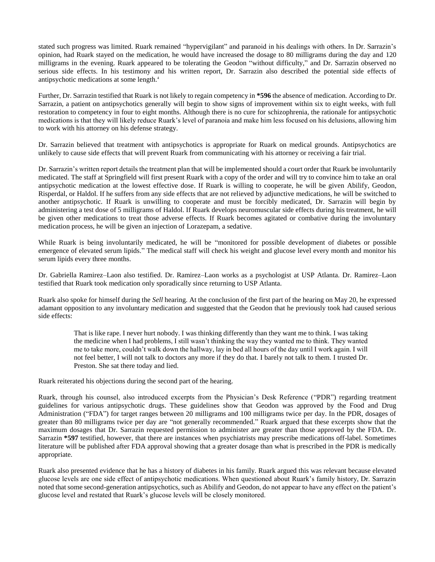stated such progress was limited. Ruark remained "hypervigilant" and paranoid in his dealings with others. In Dr. Sarrazin's opinion, had Ruark stayed on the medication, he would have increased the dosage to 80 milligrams during the day and 120 milligrams in the evening. Ruark appeared to be tolerating the Geodon "without difficulty," and Dr. Sarrazin observed no serious side effects. In his testimony and his written report, Dr. Sarrazin also described the potential side effects of antipsychotic medications at some length.<sup>4</sup>

Further, Dr. Sarrazin testified that Ruark is not likely to regain competency in **\*596** the absence of medication. According to Dr. Sarrazin, a patient on antipsychotics generally will begin to show signs of improvement within six to eight weeks, with full restoration to competency in four to eight months. Although there is no cure for schizophrenia, the rationale for antipsychotic medications is that they will likely reduce Ruark's level of paranoia and make him less focused on his delusions, allowing him to work with his attorney on his defense strategy.

Dr. Sarrazin believed that treatment with antipsychotics is appropriate for Ruark on medical grounds. Antipsychotics are unlikely to cause side effects that will prevent Ruark from communicating with his attorney or receiving a fair trial.

Dr. Sarrazin's written report details the treatment plan that will be implemented should a court order that Ruark be involuntarily medicated. The staff at Springfield will first present Ruark with a copy of the order and will try to convince him to take an oral antipsychotic medication at the lowest effective dose. If Ruark is willing to cooperate, he will be given Abilify, Geodon, Risperdal, or Haldol. If he suffers from any side effects that are not relieved by adjunctive medications, he will be switched to another antipsychotic. If Ruark is unwilling to cooperate and must be forcibly medicated, Dr. Sarrazin will begin by administering a test dose of 5 milligrams of Haldol. If Ruark develops neuromuscular side effects during his treatment, he will be given other medications to treat those adverse effects. If Ruark becomes agitated or combative during the involuntary medication process, he will be given an injection of Lorazepam, a sedative.

While Ruark is being involuntarily medicated, he will be "monitored for possible development of diabetes or possible emergence of elevated serum lipids." The medical staff will check his weight and glucose level every month and monitor his serum lipids every three months.

Dr. Gabriella Ramirez–Laon also testified. Dr. Ramirez–Laon works as a psychologist at USP Atlanta. Dr. Ramirez–Laon testified that Ruark took medication only sporadically since returning to USP Atlanta.

Ruark also spoke for himself during the *Sell* hearing. At the conclusion of the first part of the hearing on May 20, he expressed adamant opposition to any involuntary medication and suggested that the Geodon that he previously took had caused serious side effects:

That is like rape. I never hurt nobody. I was thinking differently than they want me to think. I was taking the medicine when I had problems, I still wasn't thinking the way they wanted me to think. They wanted me to take more, couldn't walk down the hallway, lay in bed all hours of the day until I work again. I will not feel better, I will not talk to doctors any more if they do that. I barely not talk to them. I trusted Dr. Preston. She sat there today and lied.

Ruark reiterated his objections during the second part of the hearing.

Ruark, through his counsel, also introduced excerpts from the Physician's Desk Reference ("PDR") regarding treatment guidelines for various antipsychotic drugs. These guidelines show that Geodon was approved by the Food and Drug Administration ("FDA") for target ranges between 20 milligrams and 100 milligrams twice per day. In the PDR, dosages of greater than 80 milligrams twice per day are "not generally recommended." Ruark argued that these excerpts show that the maximum dosages that Dr. Sarrazin requested permission to administer are greater than those approved by the FDA. Dr. Sarrazin **\*597** testified, however, that there are instances when psychiatrists may prescribe medications off-label. Sometimes literature will be published after FDA approval showing that a greater dosage than what is prescribed in the PDR is medically appropriate.

Ruark also presented evidence that he has a history of diabetes in his family. Ruark argued this was relevant because elevated glucose levels are one side effect of antipsychotic medications. When questioned about Ruark's family history, Dr. Sarrazin noted that some second-generation antipsychotics, such as Abilify and Geodon, do not appear to have any effect on the patient's glucose level and restated that Ruark's glucose levels will be closely monitored.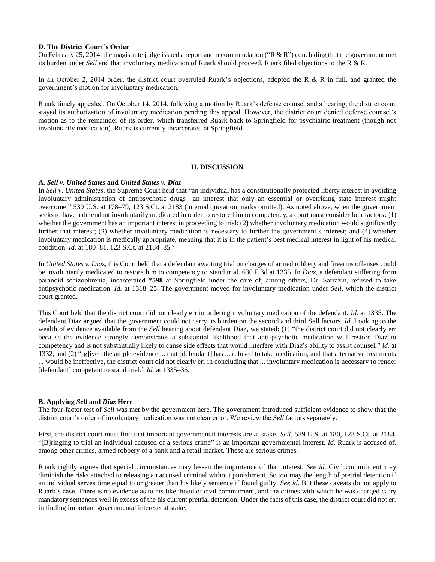#### **D. The District Court's Order**

On February 25, 2014, the magistrate judge issued a report and recommendation ("R  $\&$  R") concluding that the government met its burden under *Sell* and that involuntary medication of Ruark should proceed. Ruark filed objections to the R & R.

In an October 2, 2014 order, the district court overruled Ruark's objections, adopted the R & R in full, and granted the government's motion for involuntary medication.

Ruark timely appealed. On October 14, 2014, following a motion by Ruark's defense counsel and a hearing, the district court stayed its authorization of involuntary medication pending this appeal. However, the district court denied defense counsel's motion as to the remainder of its order, which transferred Ruark back to Springfield for psychiatric treatment (though not involuntarily medication). Ruark is currently incarcerated at Springfield.

## **II. DISCUSSION**

#### **A.** *Sell v. United States* **and** *United States v. Diaz*

In *Sell v. United States,* the Supreme Court held that "an individual has a constitutionally protected liberty interest in avoiding involuntary administration of antipsychotic drugs—an interest that only an essential or overriding state interest might overcome." 539 U.S. at 178–79, 123 S.Ct. at 2183 (internal quotation marks omitted). As noted above, when the government seeks to have a defendant involuntarily medicated in order to restore him to competency, a court must consider four factors: (1) whether the government has an important interest in proceeding to trial; (2) whether involuntary medication would significantly further that interest; (3) whether involuntary medication is necessary to further the government's interest; and (4) whether involuntary medication is medically appropriate, meaning that it is in the patient's best medical interest in light of his medical condition. *Id.* at 180–81, 123 S.Ct. at 2184–85. 5

In *United States v. Diaz,* this Court held that a defendant awaiting trial on charges of armed robbery and firearms offenses could be involuntarily medicated to restore him to competency to stand trial. 630 F.3d at 1335. In *Diaz,* a defendant suffering from paranoid schizophrenia, incarcerated **\*598** at Springfield under the care of, among others, Dr. Sarrazin, refused to take antipsychotic medication. *Id.* at 1318–25. The government moved for involuntary medication under *Sell,* which the district court granted.

This Court held that the district court did not clearly err in ordering involuntary medication of the defendant. *Id.* at 1335. The defendant Diaz argued that the government could not carry its burden on the second and third Sell factors. *Id.* Looking to the wealth of evidence available from the *Sell* hearing about defendant Diaz, we stated: (1) "the district court did not clearly err because the evidence strongly demonstrates a substantial likelihood that anti-psychotic medication will restore Diaz to competency and is not substantially likely to cause side effects that would interfere with Diaz's ability to assist counsel," *id.* at 1332; and (2) "[g]iven the ample evidence ... that [defendant] has ... refused to take medication, and that alternative treatments ... would be ineffective, the district court did not clearly err in concluding that ... involuntary medication is necessary to render [defendant] competent to stand trial." *Id.* at 1335–36.

## **B. Applying** *Sell* **and** *Diaz* **Here**

The four-factor test of *Sell* was met by the government here. The government introduced sufficient evidence to show that the district court's order of involuntary medication was not clear error. We review the *Sell* factors separately.

First, the district court must find that important governmental interests are at stake. *Sell,* 539 U.S. at 180, 123 S.Ct. at 2184. "[B]ringing to trial an individual accused of a serious crime" is an important governmental interest. *Id.* Ruark is accused of, among other crimes, armed robbery of a bank and a retail market. These are serious crimes.

Ruark rightly argues that special circumstances may lessen the importance of that interest. *See id.* Civil commitment may diminish the risks attached to releasing an accused criminal without punishment. So too may the length of pretrial detention if an individual serves time equal to or greater than his likely sentence if found guilty. *See id.* But these caveats do not apply to Ruark's case. There is no evidence as to his likelihood of civil commitment, and the crimes with which he was charged carry mandatory sentences well in excess of the his current pretrial detention. Under the facts of this case, the district court did not err in finding important governmental interests at stake.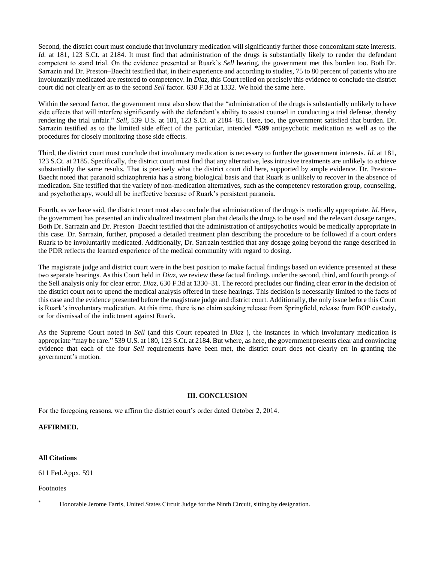Second, the district court must conclude that involuntary medication will significantly further those concomitant state interests. *Id.* at 181, 123 S.Ct. at 2184. It must find that administration of the drugs is substantially likely to render the defendant competent to stand trial. On the evidence presented at Ruark's *Sell* hearing, the government met this burden too. Both Dr. Sarrazin and Dr. Preston–Baecht testified that, in their experience and according to studies, 75 to 80 percent of patients who are involuntarily medicated are restored to competency. In *Diaz,* this Court relied on precisely this evidence to conclude the district court did not clearly err as to the second *Sell* factor. 630 F.3d at 1332. We hold the same here.

Within the second factor, the government must also show that the "administration of the drugs is substantially unlikely to have side effects that will interfere significantly with the defendant's ability to assist counsel in conducting a trial defense, thereby rendering the trial unfair." *Sell,* 539 U.S. at 181, 123 S.Ct. at 2184–85. Here, too, the government satisfied that burden. Dr. Sarrazin testified as to the limited side effect of the particular, intended **\*599** antipsychotic medication as well as to the procedures for closely monitoring those side effects.

Third, the district court must conclude that involuntary medication is necessary to further the government interests. *Id.* at 181, 123 S.Ct. at 2185. Specifically, the district court must find that any alternative, less intrusive treatments are unlikely to achieve substantially the same results. That is precisely what the district court did here, supported by ample evidence. Dr. Preston– Baecht noted that paranoid schizophrenia has a strong biological basis and that Ruark is unlikely to recover in the absence of medication. She testified that the variety of non-medication alternatives, such as the competency restoration group, counseling, and psychotherapy, would all be ineffective because of Ruark's persistent paranoia.

Fourth, as we have said, the district court must also conclude that administration of the drugs is medically appropriate. *Id.* Here, the government has presented an individualized treatment plan that details the drugs to be used and the relevant dosage ranges. Both Dr. Sarrazin and Dr. Preston–Baecht testified that the administration of antipsychotics would be medically appropriate in this case. Dr. Sarrazin, further, proposed a detailed treatment plan describing the procedure to be followed if a court orders Ruark to be involuntarily medicated. Additionally, Dr. Sarrazin testified that any dosage going beyond the range described in the PDR reflects the learned experience of the medical community with regard to dosing.

The magistrate judge and district court were in the best position to make factual findings based on evidence presented at these two separate hearings. As this Court held in *Diaz,* we review these factual findings under the second, third, and fourth prongs of the Sell analysis only for clear error. *Diaz,* 630 F.3d at 1330–31. The record precludes our finding clear error in the decision of the district court not to upend the medical analysis offered in these hearings. This decision is necessarily limited to the facts of this case and the evidence presented before the magistrate judge and district court. Additionally, the only issue before this Court is Ruark's involuntary medication. At this time, there is no claim seeking release from Springfield, release from BOP custody, or for dismissal of the indictment against Ruark.

As the Supreme Court noted in *Sell* (and this Court repeated in *Diaz* ), the instances in which involuntary medication is appropriate "may be rare." 539 U.S. at 180, 123 S.Ct. at 2184. But where, as here, the government presents clear and convincing evidence that each of the four *Sell* requirements have been met, the district court does not clearly err in granting the government's motion.

# **III. CONCLUSION**

For the foregoing reasons, we affirm the district court's order dated October 2, 2014.

**AFFIRMED.**

# **All Citations**

611 Fed.Appx. 591

Footnotes

\* Honorable Jerome Farris, United States Circuit Judge for the Ninth Circuit, sitting by designation.